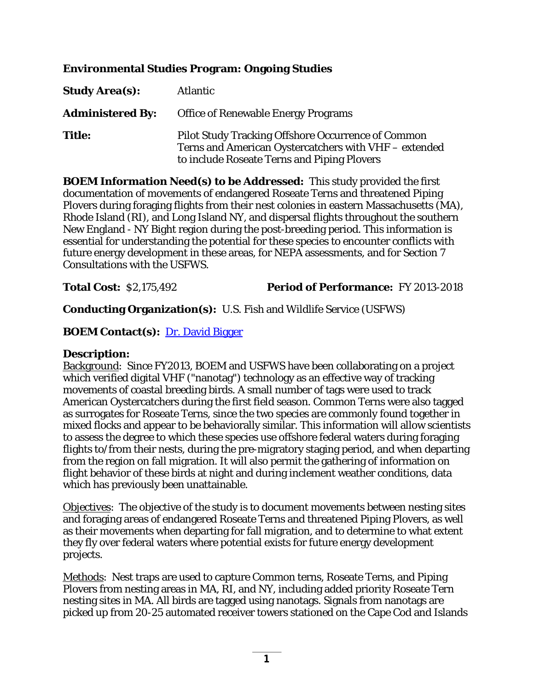## **Environmental Studies Program: Ongoing Studies**

| <b>Study Area(s):</b>   | <b>Atlantic</b>                                                                                                                                                   |
|-------------------------|-------------------------------------------------------------------------------------------------------------------------------------------------------------------|
| <b>Administered By:</b> | <b>Office of Renewable Energy Programs</b>                                                                                                                        |
| <b>Title:</b>           | <b>Pilot Study Tracking Offshore Occurrence of Common</b><br>Terns and American Oystercatchers with VHF - extended<br>to include Roseate Terns and Piping Plovers |

**BOEM Information Need(s) to be Addressed:** This study provided the first documentation of movements of endangered Roseate Terns and threatened Piping Plovers during foraging flights from their nest colonies in eastern Massachusetts (MA), Rhode Island (RI), and Long Island NY, and dispersal flights throughout the southern New England - NY Bight region during the post-breeding period. This information is essential for understanding the potential for these species to encounter conflicts with future energy development in these areas, for NEPA assessments, and for Section 7 Consultations with the USFWS.

### **Total Cost:** \$2,175,492 **Period of Performance:** FY 2013-2018

**Conducting Organization(s):** U.S. Fish and Wildlife Service (USFWS)

## **BOEM Contact(s):** [Dr. David Bigger](mailto:david.bigger@boem.gov)

### **Description:**

Background: Since FY2013, BOEM and USFWS have been collaborating on a project which verified digital VHF ("nanotag") technology as an effective way of tracking movements of coastal breeding birds. A small number of tags were used to track American Oystercatchers during the first field season. Common Terns were also tagged as surrogates for Roseate Terns, since the two species are commonly found together in mixed flocks and appear to be behaviorally similar. This information will allow scientists to assess the degree to which these species use offshore federal waters during foraging flights to/from their nests, during the pre-migratory staging period, and when departing from the region on fall migration. It will also permit the gathering of information on flight behavior of these birds at night and during inclement weather conditions, data which has previously been unattainable.

Objectives: The objective of the study is to document movements between nesting sites and foraging areas of endangered Roseate Terns and threatened Piping Plovers, as well as their movements when departing for fall migration, and to determine to what extent they fly over federal waters where potential exists for future energy development projects.

Methods: Nest traps are used to capture Common terns, Roseate Terns, and Piping Plovers from nesting areas in MA, RI, and NY, including added priority Roseate Tern nesting sites in MA. All birds are tagged using nanotags. Signals from nanotags are picked up from 20-25 automated receiver towers stationed on the Cape Cod and Islands

**1**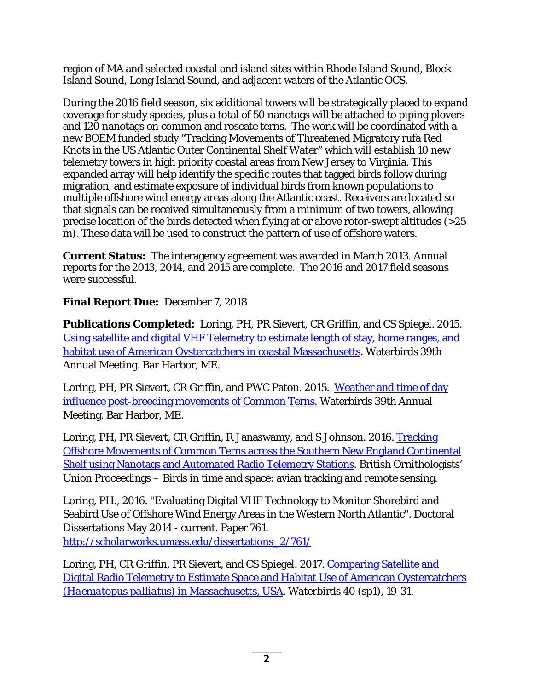region of MA and selected coastal and island sites within Rhode Island Sound, Block Island Sound, Long Island Sound, and adjacent waters of the Atlantic OCS.

During the 2016 field season, six additional towers will be strategically placed to expand coverage for study species, plus a total of 50 nanotags will be attached to piping plovers and 120 nanotags on common and roseate terns. The work will be coordinated with a new BOEM funded study "Tracking Movements of Threatened Migratory rufa Red Knots in the US Atlantic Outer Continental Shelf Water" which will establish 10 new telemetry towers in high priority coastal areas from New Jersey to Virginia. This expanded array will help identify the specific routes that tagged birds follow during migration, and estimate exposure of individual birds from known populations to multiple offshore wind energy areas along the Atlantic coast. Receivers are located so that signals can be received simultaneously from a minimum of two towers, allowing precise location of the birds detected when flying at or above rotor-swept altitudes (>25 m). These data will be used to construct the pattern of use of offshore waters.

**Current Status:** The interagency agreement was awarded in March 2013. Annual reports for the 2013, 2014, and 2015 are complete. The 2016 and 2017 field seasons were successful.

# **Final Report Due:** December 7, 2018

**Publications Completed:** Loring, PH, PR Sievert, CR Griffin, and CS Spiegel. 2015. [Using satellite and digital VHF Telemetry to estimate length of stay, home ranges, and](https://waterbirds.org/wp-content/uploads/Abstract-booklet-WbS-2015.pdf)  [habitat use of American Oystercatchers in coastal Massachusetts.](https://waterbirds.org/wp-content/uploads/Abstract-booklet-WbS-2015.pdf) Waterbirds 39th Annual Meeting. Bar Harbor, ME.

Loring, PH, PR Sievert, CR Griffin, and PWC Paton. 2015. Weather and time of day [influence post-breeding movements of Common Terns.](https://waterbirds.org/wp-content/uploads/Abstract-booklet-WbS-2015.pdf) Waterbirds 39th Annual Meeting. Bar Harbor, ME.

Loring, PH, PR Sievert, CR Griffin, R Janaswamy, and S Johnson. 2016. Tracking [Offshore Movements of Common Terns across the Southern New England Continental](http://www.bou.org.uk/bouprocnet/avian-tracking/)  [Shelf using Nanotags and Automated Radio Telemetry Stations.](http://www.bou.org.uk/bouprocnet/avian-tracking/) British Ornithologists' Union Proceedings – Birds in time and space: avian tracking and remote sensing.

Loring, PH., 2016. "Evaluating Digital VHF Technology to Monitor Shorebird and Seabird Use of Offshore Wind Energy Areas in the Western North Atlantic". Doctoral Dissertations May 2014 - current. Paper 761. [http://scholarworks.umass.edu/dissertations\\_2/761/](http://scholarworks.umass.edu/dissertations_2/761/)

Loring, PH, CR Griffin, PR Sievert, and CS Spiegel. 2017. Comparing Satellite and [Digital Radio Telemetry to Estimate Space and Habitat Use of American Oystercatchers](http://www.bioone.org/doi/abs/10.1675/063.040.sp104)  *(Haematopus palliatus*[\) in Massachusetts, USA.](http://www.bioone.org/doi/abs/10.1675/063.040.sp104) Waterbirds 40 (sp1), 19-31.